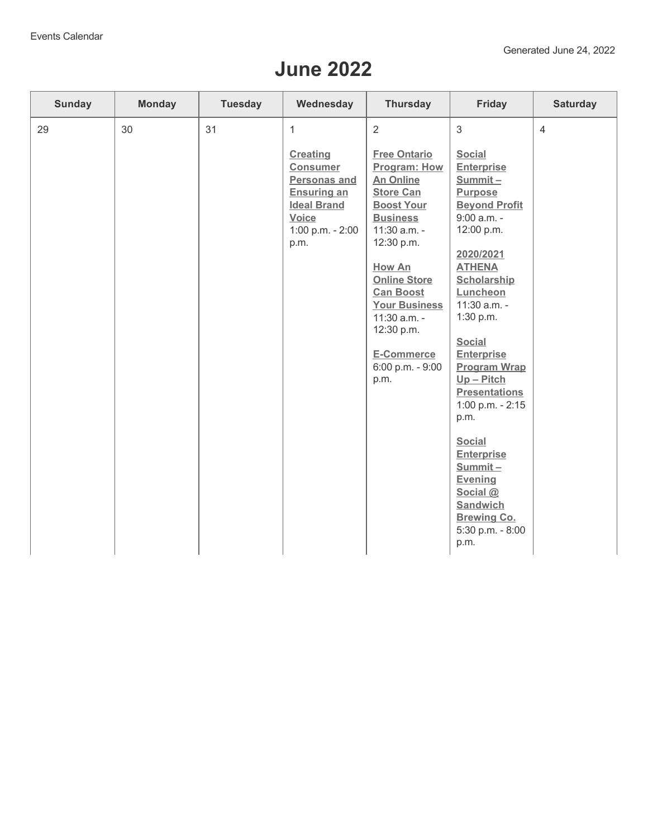## **June 2022**

| <b>Sunday</b><br><b>Monday</b> | <b>Tuesday</b> | Wednesday                                                                                                                                       | <b>Thursday</b>                                                                                                                                                                                                                                                                                             | Friday                                                                                                                                                                                                                                                                                                                                                                                                                                                                                             | <b>Saturday</b> |
|--------------------------------|----------------|-------------------------------------------------------------------------------------------------------------------------------------------------|-------------------------------------------------------------------------------------------------------------------------------------------------------------------------------------------------------------------------------------------------------------------------------------------------------------|----------------------------------------------------------------------------------------------------------------------------------------------------------------------------------------------------------------------------------------------------------------------------------------------------------------------------------------------------------------------------------------------------------------------------------------------------------------------------------------------------|-----------------|
| 30<br>29                       | 31             | 1<br><b>Creating</b><br><b>Consumer</b><br><b>Personas and</b><br><b>Ensuring an</b><br><b>Ideal Brand</b><br>Voice<br>1:00 p.m. - 2:00<br>p.m. | 2<br><b>Free Ontario</b><br>Program: How<br><b>An Online</b><br><b>Store Can</b><br><b>Boost Your</b><br><b>Business</b><br>11:30 a.m. -<br>12:30 p.m.<br>How An<br><b>Online Store</b><br><b>Can Boost</b><br><b>Your Business</b><br>11:30 a.m. -<br>12:30 p.m.<br>E-Commerce<br>6:00 p.m. - 9:00<br>p.m. | 3<br><b>Social</b><br><b>Enterprise</b><br>Summit-<br><b>Purpose</b><br><b>Beyond Profit</b><br>$9:00$ a.m. -<br>12:00 p.m.<br>2020/2021<br><b>ATHENA</b><br>Scholarship<br>Luncheon<br>11:30 a.m. -<br>1:30 p.m.<br><b>Social</b><br><b>Enterprise</b><br><b>Program Wrap</b><br>$Up - Pitch$<br><b>Presentations</b><br>1:00 p.m. - 2:15<br>p.m.<br><b>Social</b><br><b>Enterprise</b><br>$Summit -$<br><b>Evening</b><br>Social @<br>Sandwich<br><b>Brewing Co.</b><br>5:30 p.m. - 8:00<br>p.m. | $\overline{4}$  |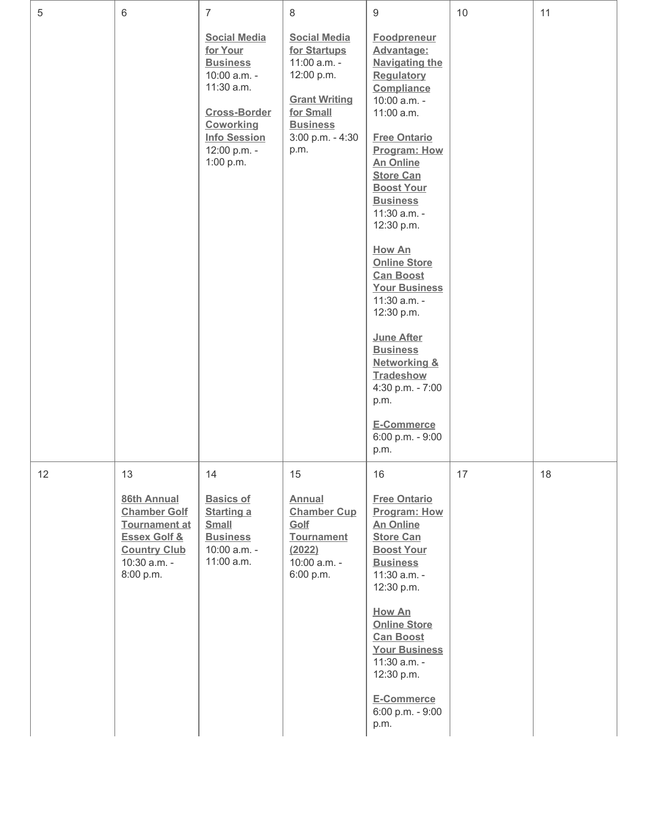| 5  | 6                                                                                                                                               | $\overline{7}$                                                                                                                                                           | 8                                                                                                                                                     | $9\,$                                                                                                                                                                                                                                                                                                                                                                                                                                                                                                                                               | 10 | 11 |
|----|-------------------------------------------------------------------------------------------------------------------------------------------------|--------------------------------------------------------------------------------------------------------------------------------------------------------------------------|-------------------------------------------------------------------------------------------------------------------------------------------------------|-----------------------------------------------------------------------------------------------------------------------------------------------------------------------------------------------------------------------------------------------------------------------------------------------------------------------------------------------------------------------------------------------------------------------------------------------------------------------------------------------------------------------------------------------------|----|----|
|    |                                                                                                                                                 | <b>Social Media</b><br>for Your<br><b>Business</b><br>10:00 a.m. -<br>11:30 a.m.<br><b>Cross-Border</b><br>Coworking<br><b>Info Session</b><br>12:00 p.m. -<br>1:00 p.m. | <b>Social Media</b><br>for Startups<br>11:00 a.m. -<br>12:00 p.m.<br><b>Grant Writing</b><br>for Small<br><b>Business</b><br>3:00 p.m. - 4:30<br>p.m. | <b>Foodpreneur</b><br>Advantage:<br><b>Navigating the</b><br><b>Regulatory</b><br>Compliance<br>10:00 a.m. -<br>11:00 a.m.<br><b>Free Ontario</b><br>Program: How<br><b>An Online</b><br><b>Store Can</b><br><b>Boost Your</b><br><b>Business</b><br>11:30 a.m. -<br>12:30 p.m.<br><b>How An</b><br><b>Online Store</b><br><b>Can Boost</b><br><b>Your Business</b><br>11:30 a.m. -<br>12:30 p.m.<br><b>June After</b><br><b>Business</b><br>Networking &<br><b>Tradeshow</b><br>4:30 p.m. - 7:00<br>p.m.<br>E-Commerce<br>6:00 p.m. - 9:00<br>p.m. |    |    |
| 12 | 13<br>86th Annual<br><b>Chamber Golf</b><br><b>Tournament at</b><br><b>Essex Golf &amp;</b><br><b>Country Club</b><br>10:30 a.m. -<br>8:00 p.m. | 14<br><b>Basics of</b><br><b>Starting a</b><br><b>Small</b><br><b>Business</b><br>10:00 a.m. -<br>11:00 a.m.                                                             | 15<br><b>Annual</b><br><b>Chamber Cup</b><br>Golf<br><b>Tournament</b><br>(2022)<br>10:00 a.m. -<br>6:00 p.m.                                         | 16<br><b>Free Ontario</b><br>Program: How<br><b>An Online</b><br><b>Store Can</b><br><b>Boost Your</b><br><b>Business</b><br>11:30 a.m. -<br>12:30 p.m.<br><b>How An</b><br><b>Online Store</b><br><b>Can Boost</b><br><b>Your Business</b><br>11:30 a.m. -<br>12:30 p.m.<br>E-Commerce<br>6:00 p.m. - 9:00<br>p.m.                                                                                                                                                                                                                                 | 17 | 18 |